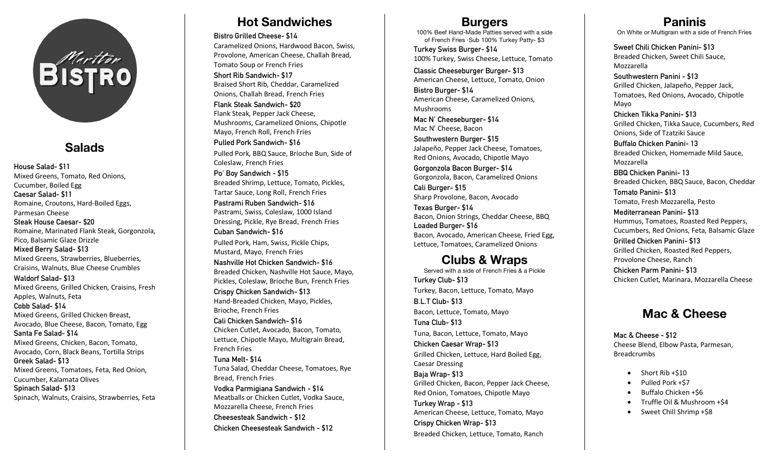

## **Salads**

**House Salad- \$11**  Mixed Greens, Tomato, Red Onions, Cucumber, Boiled Egg **Caesar Salad- \$11**  Romaine, Croutons, Hard-Boiled Eggs, Parmesan Cheese **Steak House Caesar- \$20**  Romaine, Marinated Flank Steak, Gorgonzola, Pico, Balsamic Glaze Drizzle **Mixed Berry Salad- \$13** Mixed Greens, Strawberries, Blueberries, Craisins, Walnuts, Blue Cheese Crumbles **Waldorf Salad- \$13** Mixed Greens, Grilled Chicken, Craisins, Fresh Apples, Walnuts, Feta **Cobb Salad- \$14** Mixed Greens, Grilled Chicken Breast, Avocado, Blue Cheese, Bacon, Tomato, Egg **Santa Fe Salad- \$14** Mixed Greens, Chicken, Bacon, Tomato, Avocado, Corn, Black Beans, Tortilla Strips **Greek Salad- \$13** Mixed Greens, Tomatoes, Feta, Red Onion, Cucumber, Kalamata Olives **Spinach Salad- \$13** Spinach, Walnuts, Craisins, Strawberries, Feta

## **Hot Sandwiches**

**Bistro Grilled Cheese- \$14**

Caramelized Onions, Hardwood Bacon, Swiss, Provolone, American Cheese, Challah Bread, Tomato Soup or French Fries

**Short Rib Sandwich- \$17** Braised Short Rib, Cheddar, Caramelized Onions, Challah Bread, French Fries

**Flank Steak Sandwich- \$20** Flank Steak, Pepper Jack Cheese, Mushrooms, Caramelized Onions, Chipotle Mayo, French Roll, French Fries **Pulled Pork Sandwich- \$16**

Pulled Pork, BBQ Sauce, Brioche Bun, Side of Coleslaw, French Fries

**Po' Boy Sandwich - \$15** Breaded Shrimp, Lettuce, Tomato, Pickles, Tartar Sauce, Long Roll, French Fries **Pastrami Ruben Sandwich- \$16** Pastrami, Swiss, Coleslaw, 1000 Island Dressing, Pickle, Rye Bread, French Fries **Cuban Sandwich- \$16**

Pulled Pork, Ham, Swiss, Pickle Chips, Mustard, Mayo, French Fries

**Nashville Hot Chicken Sandwich- \$16** Breaded Chicken, Nashville Hot Sauce, Mayo, Pickles, Coleslaw, Brioche Bun, French Fries **Crispy Chicken Sandwich- \$13** Hand-Breaded Chicken, Mayo, Pickles, Brioche, French Fries **Cali Chicken Sandwich- \$16**

Chicken Cutlet, Avocado, Bacon, Tomato, Lettuce, Chipotle Mayo, Multigrain Bread, French Fries

**Tuna Melt- \$14** Tuna Salad, Cheddar Cheese, Tomatoes, Rye Bread, French Fries **Vodka Parmigiana Sandwich - \$14**

Meatballs or Chicken Cutlet, Vodka Sauce, Mozzarella Cheese, French Fries **Cheesesteak Sandwich - \$12 Chicken Cheesesteak Sandwich - \$12**

### **Burgers**

100% Beef Hand-Made Patties served with a side of French Fries ∙Sub 100% Turkey Patty- \$3

**Turkey Swiss Burger- \$14** 100% Turkey, Swiss Cheese, Lettuce, Tomato

**Classic Cheeseburger Burger- \$13** American Cheese, Lettuce, Tomato, Onion

**Bistro Burger- \$14** American Cheese, Caramelized Onions, Mushrooms

**Mac N' Cheeseburger- \$14** Mac N' Cheese, Bacon

**Southwestern Burger- \$15** Jalapeño, Pepper Jack Cheese, Tomatoes, Red Onions, Avocado, Chipotle Mayo

**Gorgonzola Bacon Burger- \$14** Gorgonzola, Bacon, Caramelized Onions

**Cali Burger- \$15** Sharp Provolone, Bacon, Avocado

**Texas Burger- \$14** Bacon, Onion Strings, Cheddar Cheese, BBQ **Loaded Burger- \$16** Bacon, Avocado, American Cheese, Fried Egg, Lettuce, Tomatoes, Caramelized Onions

## **Clubs & Wraps**

Served with a side of French Fries & a Pickle **Turkey Club- \$13** Turkey, Bacon, Lettuce, Tomato, Mayo **B.L.T Club- \$13** Bacon, Lettuce, Tomato, Mayo **Tuna Club- \$13** Tuna, Bacon, Lettuce, Tomato, Mayo **Chicken Caesar Wrap- \$13** Grilled Chicken, Lettuce, Hard Boiled Egg, Caesar Dressing **Baja Wrap- \$13** Grilled Chicken, Bacon, Pepper Jack Cheese, Red Onion, Tomatoes, Chipotle Mayo **Turkey Wrap - \$13** American Cheese, Lettuce, Tomato, Mayo **Crispy Chicken Wrap- \$13** Breaded Chicken, Lettuce, Tomato, Ranch

**Paninis** On White or Multigrain with a side of French Fries

**Sweet Chili Chicken Panini- \$13** Breaded Chicken, Sweet Chili Sauce, Mozzarella

**Southwestern Panini - \$13** Grilled Chicken, Jalapeño, Pepper Jack, Tomatoes, Red Onions, Avocado, Chipotle Mayo

**Chicken Tikka Panini- \$13** Grilled Chicken, Tikka Sauce, Cucumbers, Red Onions, Side of Tzatziki Sauce

**Buffalo Chicken Panini- 13** Breaded Chicken, Homemade Mild Sauce, Mozzarella

**BBQ Chicken Panini- 13** Breaded Chicken, BBQ Sauce, Bacon, Cheddar **Tomato Panini- \$13**

Tomato, Fresh Mozzarella, Pesto

**Mediterranean Panini- \$13** Hummus, Tomatoes, Roasted Red Peppers, Cucumbers, Red Onions, Feta, Balsamic Glaze **Grilled Chicken Panini- \$13** Grilled Chicken, Roasted Red Peppers, Provolone Cheese, Ranch **Chicken Parm Panini- \$13** Chicken Cutlet, Marinara, Mozzarella Cheese

## **Mac & Cheese**

**Mac & Cheese - \$12** Cheese Blend, Elbow Pasta, Parmesan, Breadcrumbs

- Short Rib +\$10
- Pulled Pork +\$7
- Buffalo Chicken +\$6
- Truffle Oil & Mushroom +\$4
- Sweet Chill Shrimp +\$8